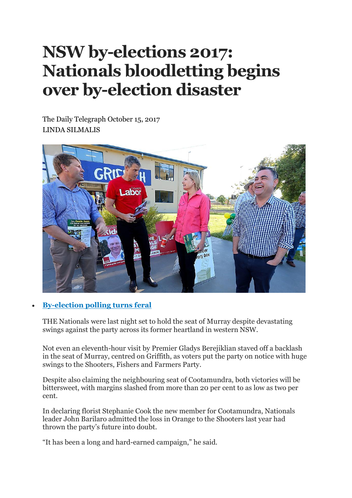## **NSW by-elections 2017: Nationals bloodletting begins over by-election disaster**

The Daily Telegraph October 15, 2017 LINDA SILMALIS



## • **[By-election](http://www.dailytelegraph.com.au/news/nsw/by-elections-coalition-braces-for-swing-from-disgruntled-bush-voters/news-story/1e4c59ff228a50bf6e29407e326f3dfb) polling turns feral**

THE Nationals were last night set to hold the seat of Murray despite devastating swings against the party across its former heartland in western NSW.

Not even an eleventh-hour visit by Premier Gladys Berejiklian staved off a backlash in the seat of Murray, centred on Griffith, as voters put the party on notice with huge swings to the Shooters, Fishers and Farmers Party.

Despite also claiming the neighbouring seat of Cootamundra, both victories will be bittersweet, with margins slashed from more than 20 per cent to as low as two per cent.

In declaring florist Stephanie Cook the new member for Cootamundra, Nationals leader John Barilaro admitted the loss in Orange to the Shooters last year had thrown the party's future into doubt.

"It has been a long and hard-earned campaign," he said.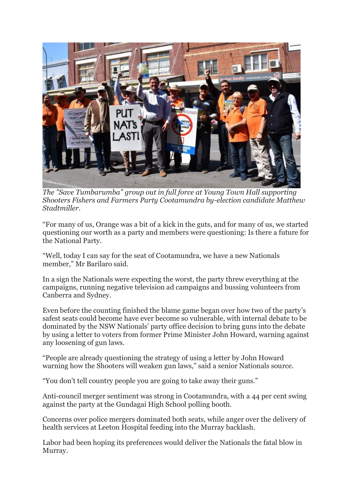

*The "Save Tumbarumba" group out in full force at Young Town Hall supporting Shooters Fishers and Farmers Party Cootamundra by-election candidate Matthew Stadtmiller.*

"For many of us, Orange was a bit of a kick in the guts, and for many of us, we started questioning our worth as a party and members were questioning: Is there a future for the National Party.

"Well, today I can say for the seat of Cootamundra, we have a new Nationals member," Mr Barilaro said.

In a sign the Nationals were expecting the worst, the party threw everything at the campaigns, running negative television ad campaigns and bussing volunteers from Canberra and Sydney.

Even before the counting finished the blame game began over how two of the party's safest seats could become have ever become so vulnerable, with internal debate to be dominated by the NSW Nationals' party office decision to bring guns into the debate by using a letter to voters from former Prime Minister John Howard, warning against any loosening of gun laws.

"People are already questioning the strategy of using a letter by John Howard warning how the Shooters will weaken gun laws," said a senior Nationals source.

"You don't tell country people you are going to take away their guns."

Anti-council merger sentiment was strong in Cootamundra, with a 44 per cent swing against the party at the Gundagai High School polling booth.

Concerns over police mergers dominated both seats, while anger over the delivery of health services at Leeton Hospital feeding into the Murray backlash.

Labor had been hoping its preferences would deliver the Nationals the fatal blow in Murray.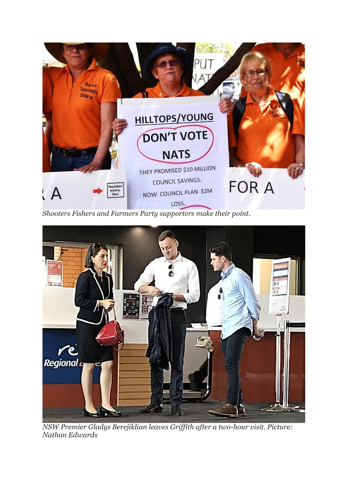

*Shooters Fishers and Farmers Party supporters make their point.*



*NSW Premier Gladys Berejiklian leaves Griffith after a two-hour visit. Picture: Nathan Edwards*